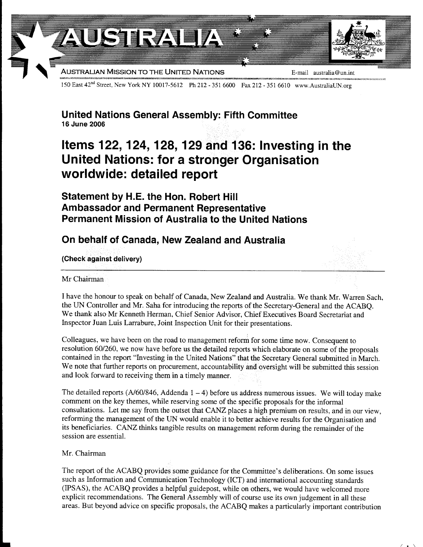

150 East 42<sup>nd</sup> Street, New York NY 10017-5612 Ph 212 - 351 6600 Fax 212 - 351 6610 www.AustraliaUN.org

United Nations General Assembly: Fifth Committee 16 June 2005

## Items 122, 124, 128, 129 and 136: Investing in the United Nations: for a stronger Organisation worldwide: detailed report

Statement by H.E. the Hon. Robert Hill Ambassador and Permanent Representative Permanent Mission of Australia to the United Nations

## On behalf of Canada, New Zealand and Australia

(Check against delivery)

Mr Chairman

I have the honour to speak on behalf of Canada, New Zealand and Australia. We thank Mr. Warren Sach, the UN Controller and Mr. Saha for introducing the reports of the Secretary-General and the ACABQ. We thank also Mr Kenneth Herman, Chief Senior Advisor, Chief Executives Board Secretariat and Inspector Juan Luis Larrabure, Joint Inspection Unit for their presentations.

Colleagues, we have been on the road to management reform for some time now. Consequent to resolution 601260, we now have before us the detailed reports which elaborate on some of the proposals contained in the report "lnvesting in the United Nations" that the Secretary General submitted in March. We note that further reports on procurement, accountability and oversight will be submitted this session and look forward to receiving them in a timely manner.

The detailed reports (A/60/846, Addenda  $1 - 4$ ) before us address numerous issues. We will today make comment on the key themes, while reserving some of the specific proposals for the informal consultations. Let me say from the outset that CANZ places a high premium on results, and in our view, reforming the management of the UN would enable it to better achieve results for the Organisation and its beneficiaries. CANZ thinks tangible results on management reform during the remainder of the session are essential.

## Mr. Chairman

The report of the ACABQ provides some guidance for the Committee's deliberations. On some issues such as Information and Communication Technology (ICT) and international accounting standards (IPSAS), the ACABQ provides a helpful guidepost, while on others, we would have welcomed more explicit recommendations. The General Assembly will of course use its own judgement in all these areas. But beyond advice on specific proposals, the ACABQ makes a particularly important contribution